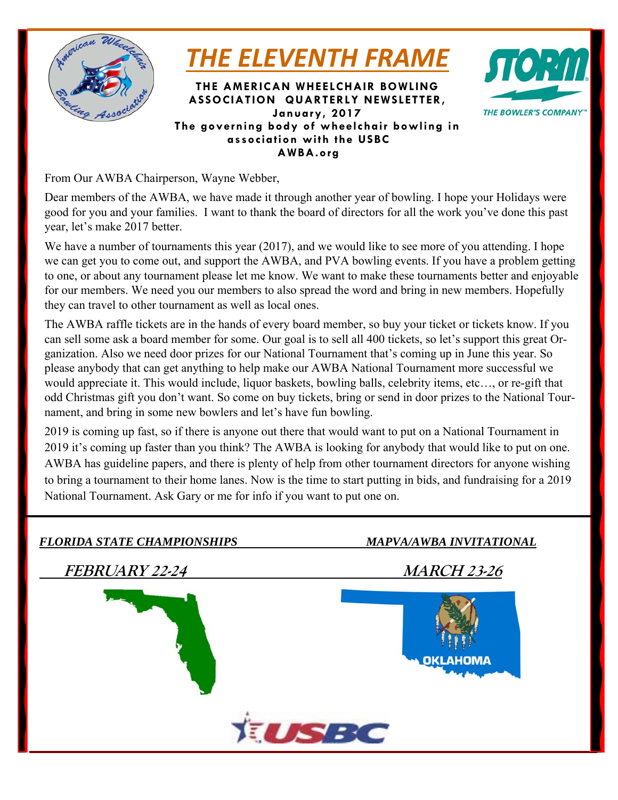

*THE ELEVENTH FRAME*

**THE AMERICAN WHEELCHAIR BOWLING ASSOCIATION QUARTERLY NEWSLETTER, January, 2017 The governing body of wheelchair bowling in association with the USBC AWBA.org** 



From Our AWBA Chairperson, Wayne Webber,

Dear members of the AWBA, we have made it through another year of bowling. I hope your Holidays were good for you and your families. I want to thank the board of directors for all the work you've done this past year, let's make 2017 better.

We have a number of tournaments this year (2017), and we would like to see more of you attending. I hope we can get you to come out, and support the AWBA, and PVA bowling events. If you have a problem getting to one, or about any tournament please let me know. We want to make these tournaments better and enjoyable for our members. We need you our members to also spread the word and bring in new members. Hopefully they can travel to other tournament as well as local ones.

The AWBA raffle tickets are in the hands of every board member, so buy your ticket or tickets know. If you can sell some ask a board member for some. Our goal is to sell all 400 tickets, so let's support this great Organization. Also we need door prizes for our National Tournament that's coming up in June this year. So please anybody that can get anything to help make our AWBA National Tournament more successful we would appreciate it. This would include, liquor baskets, bowling balls, celebrity items, etc…, or re-gift that odd Christmas gift you don't want. So come on buy tickets, bring or send in door prizes to the National Tournament, and bring in some new bowlers and let's have fun bowling.

2019 is coming up fast, so if there is anyone out there that would want to put on a National Tournament in 2019 it's coming up faster than you think? The AWBA is looking for anybody that would like to put on one. AWBA has guideline papers, and there is plenty of help from other tournament directors for anyone wishing to bring a tournament to their home lanes. Now is the time to start putting in bids, and fundraising for a 2019 National Tournament. Ask Gary or me for info if you want to put one on.

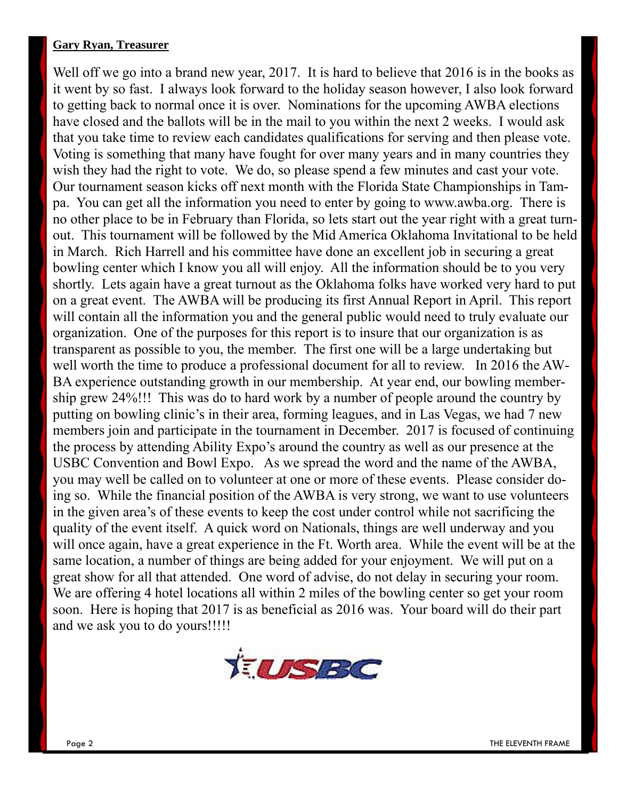### **Gary Ryan, Treasurer**

Well off we go into a brand new year, 2017. It is hard to believe that 2016 is in the books as it went by so fast. I always look forward to the holiday season however, I also look forward to getting back to normal once it is over. Nominations for the upcoming AWBA elections have closed and the ballots will be in the mail to you within the next 2 weeks. I would ask that you take time to review each candidates qualifications for serving and then please vote. Voting is something that many have fought for over many years and in many countries they wish they had the right to vote. We do, so please spend a few minutes and cast your vote. Our tournament season kicks off next month with the Florida State Championships in Tampa. You can get all the information you need to enter by going to www.awba.org. There is no other place to be in February than Florida, so lets start out the year right with a great turnout. This tournament will be followed by the Mid America Oklahoma Invitational to be held in March. Rich Harrell and his committee have done an excellent job in securing a great bowling center which I know you all will enjoy. All the information should be to you very shortly. Lets again have a great turnout as the Oklahoma folks have worked very hard to put on a great event. The AWBA will be producing its first Annual Report in April. This report will contain all the information you and the general public would need to truly evaluate our organization. One of the purposes for this report is to insure that our organization is as transparent as possible to you, the member. The first one will be a large undertaking but well worth the time to produce a professional document for all to review. In 2016 the AW-BA experience outstanding growth in our membership. At year end, our bowling membership grew 24%!!! This was do to hard work by a number of people around the country by putting on bowling clinic's in their area, forming leagues, and in Las Vegas, we had 7 new members join and participate in the tournament in December. 2017 is focused of continuing the process by attending Ability Expo's around the country as well as our presence at the USBC Convention and Bowl Expo. As we spread the word and the name of the AWBA, you may well be called on to volunteer at one or more of these events. Please consider doing so. While the financial position of the AWBA is very strong, we want to use volunteers in the given area's of these events to keep the cost under control while not sacrificing the quality of the event itself. A quick word on Nationals, things are well underway and you will once again, have a great experience in the Ft. Worth area. While the event will be at the same location, a number of things are being added for your enjoyment. We will put on a great show for all that attended. One word of advise, do not delay in securing your room. We are offering 4 hotel locations all within 2 miles of the bowling center so get your room soon. Here is hoping that 2017 is as beneficial as 2016 was. Your board will do their part and we ask you to do yours!!!!!

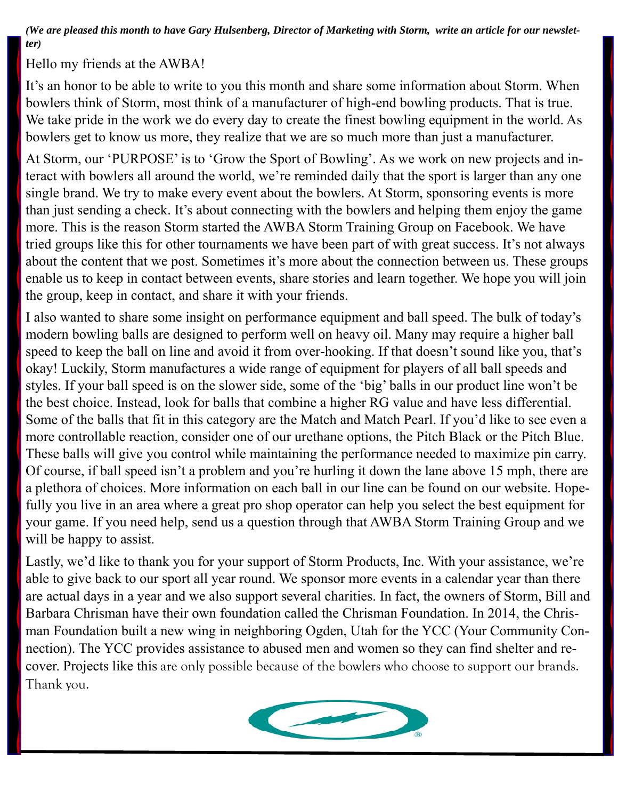*(We are pleased this month to have Gary Hulsenberg, Director of Marketing with Storm, write an article for our newsletter)* 

Hello my friends at the AWBA!

It's an honor to be able to write to you this month and share some information about Storm. When bowlers think of Storm, most think of a manufacturer of high-end bowling products. That is true. We take pride in the work we do every day to create the finest bowling equipment in the world. As bowlers get to know us more, they realize that we are so much more than just a manufacturer.

At Storm, our 'PURPOSE' is to 'Grow the Sport of Bowling'. As we work on new projects and interact with bowlers all around the world, we're reminded daily that the sport is larger than any one single brand. We try to make every event about the bowlers. At Storm, sponsoring events is more than just sending a check. It's about connecting with the bowlers and helping them enjoy the game more. This is the reason Storm started the AWBA Storm Training Group on Facebook. We have tried groups like this for other tournaments we have been part of with great success. It's not always about the content that we post. Sometimes it's more about the connection between us. These groups enable us to keep in contact between events, share stories and learn together. We hope you will join the group, keep in contact, and share it with your friends.

I also wanted to share some insight on performance equipment and ball speed. The bulk of today's modern bowling balls are designed to perform well on heavy oil. Many may require a higher ball speed to keep the ball on line and avoid it from over-hooking. If that doesn't sound like you, that's okay! Luckily, Storm manufactures a wide range of equipment for players of all ball speeds and styles. If your ball speed is on the slower side, some of the 'big' balls in our product line won't be the best choice. Instead, look for balls that combine a higher RG value and have less differential. Some of the balls that fit in this category are the Match and Match Pearl. If you'd like to see even a more controllable reaction, consider one of our urethane options, the Pitch Black or the Pitch Blue. These balls will give you control while maintaining the performance needed to maximize pin carry. Of course, if ball speed isn't a problem and you're hurling it down the lane above 15 mph, there are a plethora of choices. More information on each ball in our line can be found on our website. Hopefully you live in an area where a great pro shop operator can help you select the best equipment for your game. If you need help, send us a question through that AWBA Storm Training Group and we will be happy to assist.

Lastly, we'd like to thank you for your support of Storm Products, Inc. With your assistance, we're able to give back to our sport all year round. We sponsor more events in a calendar year than there are actual days in a year and we also support several charities. In fact, the owners of Storm, Bill and Barbara Chrisman have their own foundation called the Chrisman Foundation. In 2014, the Chrisman Foundation built a new wing in neighboring Ogden, Utah for the YCC (Your Community Connection). The YCC provides assistance to abused men and women so they can find shelter and recover. Projects like this are only possible because of the bowlers who choose to support our brands. Thank you.

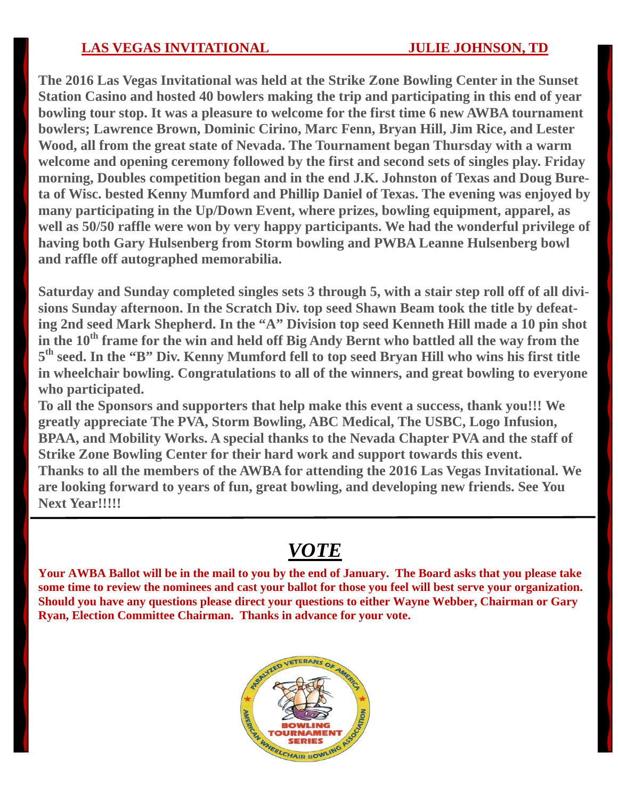**The 2016 Las Vegas Invitational was held at the Strike Zone Bowling Center in the Sunset Station Casino and hosted 40 bowlers making the trip and participating in this end of year bowling tour stop. It was a pleasure to welcome for the first time 6 new AWBA tournament bowlers; Lawrence Brown, Dominic Cirino, Marc Fenn, Bryan Hill, Jim Rice, and Lester Wood, all from the great state of Nevada. The Tournament began Thursday with a warm welcome and opening ceremony followed by the first and second sets of singles play. Friday morning, Doubles competition began and in the end J.K. Johnston of Texas and Doug Bureta of Wisc. bested Kenny Mumford and Phillip Daniel of Texas. The evening was enjoyed by many participating in the Up/Down Event, where prizes, bowling equipment, apparel, as well as 50/50 raffle were won by very happy participants. We had the wonderful privilege of having both Gary Hulsenberg from Storm bowling and PWBA Leanne Hulsenberg bowl and raffle off autographed memorabilia.** 

**Saturday and Sunday completed singles sets 3 through 5, with a stair step roll off of all divisions Sunday afternoon. In the Scratch Div. top seed Shawn Beam took the title by defeating 2nd seed Mark Shepherd. In the "A" Division top seed Kenneth Hill made a 10 pin shot in the 10th frame for the win and held off Big Andy Bernt who battled all the way from the 5th seed. In the "B" Div. Kenny Mumford fell to top seed Bryan Hill who wins his first title in wheelchair bowling. Congratulations to all of the winners, and great bowling to everyone who participated.**

**To all the Sponsors and supporters that help make this event a success, thank you!!! We greatly appreciate The PVA, Storm Bowling, ABC Medical, The USBC, Logo Infusion, BPAA, and Mobility Works. A special thanks to the Nevada Chapter PVA and the staff of Strike Zone Bowling Center for their hard work and support towards this event. Thanks to all the members of the AWBA for attending the 2016 Las Vegas Invitational. We are looking forward to years of fun, great bowling, and developing new friends. See You Next Year!!!!!**

# *VOTE*

**Your AWBA Ballot will be in the mail to you by the end of January. The Board asks that you please take some time to review the nominees and cast your ballot for those you feel will best serve your organization. Should you have any questions please direct your questions to either Wayne Webber, Chairman or Gary Ryan, Election Committee Chairman. Thanks in advance for your vote.** 

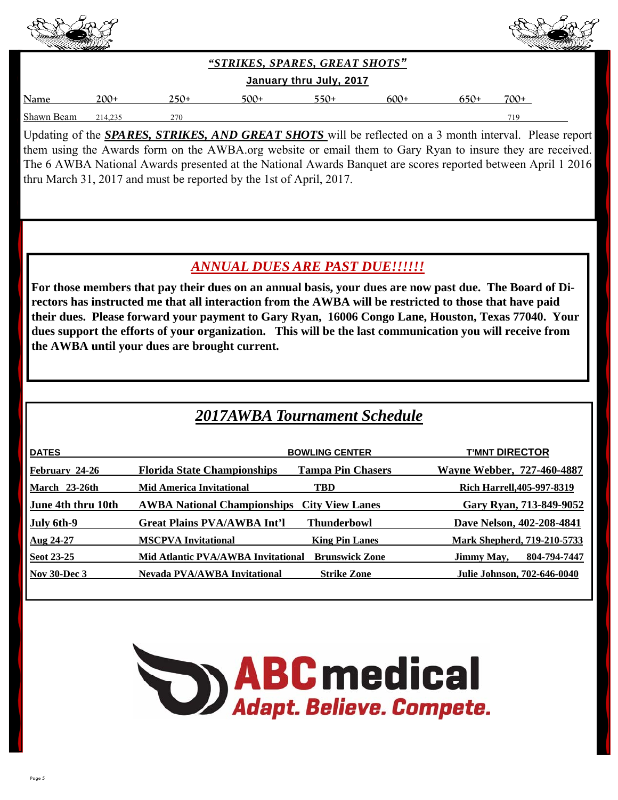



*"STRIKES, SPARES, GREAT SHOTS"* 

#### **January thru July, 2017**

| Name               | $200+$  | ۱۰' د پ | ⊏∩∩ | . . | $\mathbf{r}$<br>ОU | <u>. .</u> | ¬⌒⌒ |
|--------------------|---------|---------|-----|-----|--------------------|------------|-----|
| Shawn<br>,<br>реаш | 21 T.2. | 27(     |     |     |                    |            | 71C |

Updating of the *SPARES, STRIKES, AND GREAT SHOTS* will be reflected on a 3 month interval. Please report them using the Awards form on the AWBA.org website or email them to Gary Ryan to insure they are received. The 6 AWBA National Awards presented at the National Awards Banquet are scores reported between April 1 2016 thru March 31, 2017 and must be reported by the 1st of April, 2017.

## *ANNUAL DUES ARE PAST DUE!!!!!!*

**For those members that pay their dues on an annual basis, your dues are now past due. The Board of Directors has instructed me that all interaction from the AWBA will be restricted to those that have paid their dues. Please forward your payment to Gary Ryan, 16006 Congo Lane, Houston, Texas 77040. Your dues support the efforts of your organization. This will be the last communication you will receive from the AWBA until your dues are brought current.** 

## *2017AWBA Tournament Schedule*

|                                     |                          | <b>T'MNT DIRECTOR</b>                                                                             |
|-------------------------------------|--------------------------|---------------------------------------------------------------------------------------------------|
| <b>Florida State Championships</b>  | <b>Tampa Pin Chasers</b> | <b>Wayne Webber, 727-460-4887</b>                                                                 |
| <b>Mid America Invitational</b>     | <b>TBD</b>               | <b>Rich Harrell, 405-997-8319</b>                                                                 |
|                                     | <b>City View Lanes</b>   | Gary Ryan, 713-849-9052                                                                           |
| <b>Great Plains PVA/AWBA Int'l</b>  | Thunderbowl              | Dave Nelson, 402-208-4841                                                                         |
| <b>MSCPVA Invitational</b>          | <b>King Pin Lanes</b>    | Mark Shepherd, 719-210-5733                                                                       |
|                                     | <b>Brunswick Zone</b>    | 804-794-7447<br>Jimmy May,                                                                        |
| <b>Nevada PVA/AWBA Invitational</b> | <b>Strike Zone</b>       | <b>Julie Johnson, 702-646-0040</b>                                                                |
|                                     |                          | <b>BOWLING CENTER</b><br><b>AWBA National Championships</b><br>Mid Atlantic PVA/AWBA Invitational |

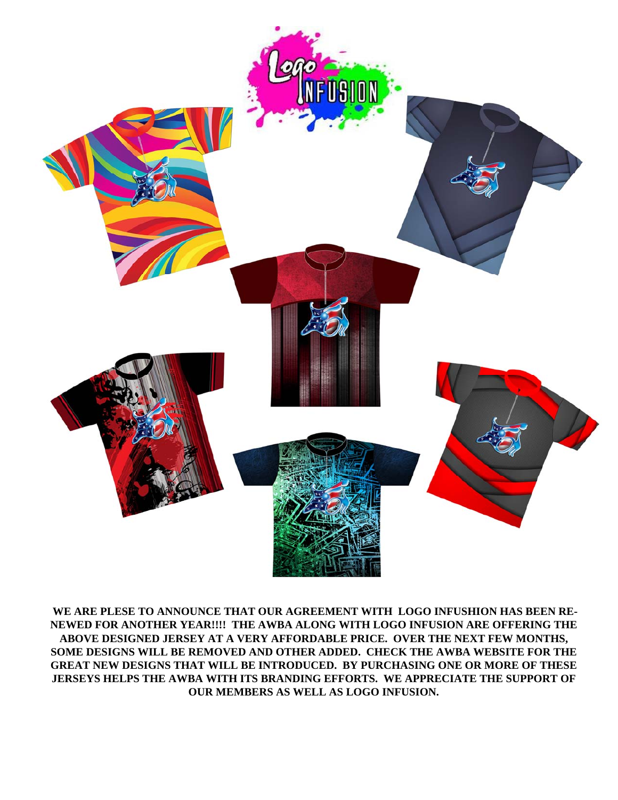

 **WE ARE PLESE TO ANNOUNCE THAT OUR AGREEMENT WITH LOGO INFUSHION HAS BEEN RE-NEWED FOR ANOTHER YEAR!!!! THE AWBA ALONG WITH LOGO INFUSION ARE OFFERING THE ABOVE DESIGNED JERSEY AT A VERY AFFORDABLE PRICE. OVER THE NEXT FEW MONTHS, SOME DESIGNS WILL BE REMOVED AND OTHER ADDED. CHECK THE AWBA WEBSITE FOR THE GREAT NEW DESIGNS THAT WILL BE INTRODUCED. BY PURCHASING ONE OR MORE OF THESE JERSEYS HELPS THE AWBA WITH ITS BRANDING EFFORTS. WE APPRECIATE THE SUPPORT OF OUR MEMBERS AS WELL AS LOGO INFUSION.**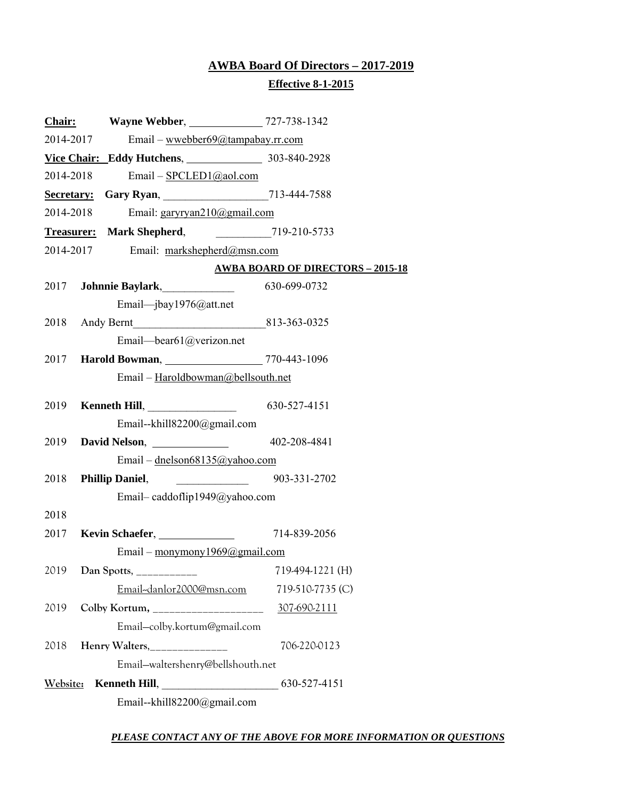## **AWBA Board Of Directors – 2017-2019 Effective 8-1-2015**

|           | Chair: Wayne Webber, 2727-738-1342             |                                          |
|-----------|------------------------------------------------|------------------------------------------|
|           | Email - wwebber69@tampabay.rr.com<br>2014-2017 |                                          |
|           | Vice Chair: Eddy Hutchens, 203-840-2928        |                                          |
|           | 2014-2018<br>Email - SPCLED1@aol.com           |                                          |
|           |                                                |                                          |
| 2014-2018 | Email: garyryan210@gmail.com                   |                                          |
|           | Treasurer: Mark Shepherd, 219-210-5733         |                                          |
|           | Email: markshepherd@msn.com<br>2014-2017       |                                          |
|           |                                                | <b>AWBA BOARD OF DIRECTORS - 2015-18</b> |
| 2017      | <b>Johnnie Baylark</b> , 630-699-0732          |                                          |
|           | Email—jbay1976@att.net                         |                                          |
|           | 2018 Andy Bernt 813-363-0325                   |                                          |
|           | Email-bear61@verizon.net                       |                                          |
| 2017      | Harold Bowman, 2770-443-1096                   |                                          |
|           | Email - Haroldbowman@bellsouth.net             |                                          |
| 2019      | <b>Kenneth Hill</b> , 630-527-4151             |                                          |
|           | Email--khill82200@gmail.com                    |                                          |
|           |                                                |                                          |
|           | Email – dnelson68135@yahoo.com                 |                                          |
| 2018      | Phillip Daniel, 2003-331-2702                  |                                          |
|           | Email-caddoflip1949@yahoo.com                  |                                          |
| 2018      |                                                |                                          |
|           | 2017 Kevin Schaefer, 2014-839-2056             |                                          |
|           | Email - monymony 1969@gmail.com                |                                          |
|           |                                                |                                          |
|           | Email-danlor2000@msn.com                       | 719-510-7735 (C)                         |
| 2019      | Colby Kortum, __________________               | 307-690-2111                             |
|           | Email-colby.kortum@gmail.com                   |                                          |
| 2018      | Henry Walters, _______________                 | 706-220-0123                             |
|           | Email-waltershenry@bellshouth.net              |                                          |
| Website:  |                                                |                                          |
|           | Email--khill82200@gmail.com                    |                                          |

#### *PLEASE CONTACT ANY OF THE ABOVE FOR MORE INFORMATION OR QUESTIONS*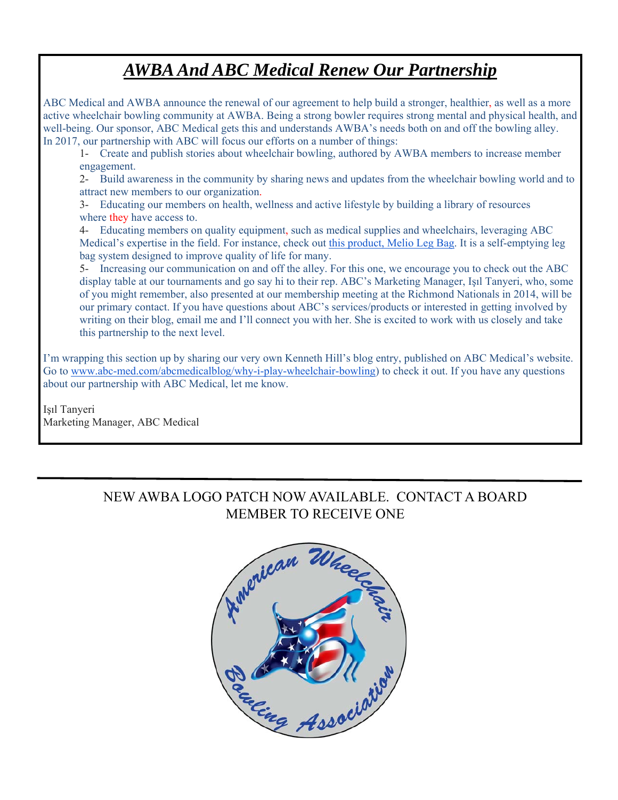## *AWBA And ABC Medical Renew Our Partnership*

ABC Medical and AWBA announce the renewal of our agreement to help build a stronger, healthier, as well as a more active wheelchair bowling community at AWBA. Being a strong bowler requires strong mental and physical health, and well-being. Our sponsor, ABC Medical gets this and understands AWBA's needs both on and off the bowling alley. In 2017, our partnership with ABC will focus our efforts on a number of things:

1- Create and publish stories about wheelchair bowling, authored by AWBA members to increase member engagement.

2- Build awareness in the community by sharing news and updates from the wheelchair bowling world and to attract new members to our organization.

3- Educating our members on health, wellness and active lifestyle by building a library of resources where they have access to.

4- Educating members on quality equipment, such as medical supplies and wheelchairs, leveraging ABC Medical's expertise in the field. For instance, check out this product, Melio Leg Bag. It is a self-emptying leg bag system designed to improve quality of life for many.

5- Increasing our communication on and off the alley. For this one, we encourage you to check out the ABC display table at our tournaments and go say hi to their rep. ABC's Marketing Manager, Işıl Tanyeri, who, some of you might remember, also presented at our membership meeting at the Richmond Nationals in 2014, will be our primary contact. If you have questions about ABC's services/products or interested in getting involved by writing on their blog, email me and I'll connect you with her. She is excited to work with us closely and take this partnership to the next level.

I'm wrapping this section up by sharing our very own Kenneth Hill's blog entry, published on ABC Medical's website. Go to www.abc-med.com/abcmedicalblog/why-i-play-wheelchair-bowling) to check it out. If you have any questions about our partnership with ABC Medical, let me know.

Işıl Tanyeri Marketing Manager, ABC Medical

## NEW AWBA LOGO PATCH NOW AVAILABLE. CONTACT A BOARD MEMBER TO RECEIVE ONE

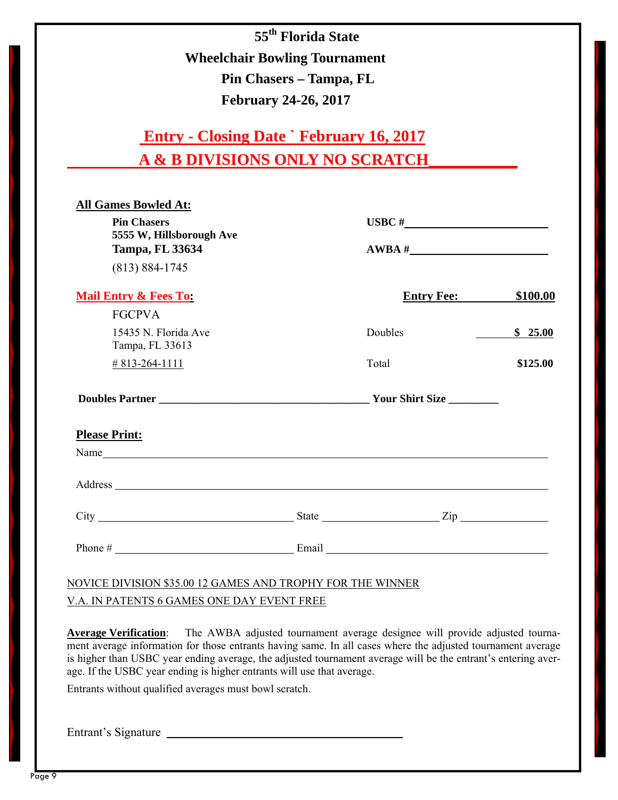**55th Florida State Wheelchair Bowling Tournament Pin Chasers – Tampa, FL February 24-26, 2017** 

| <b>Entry - Closing Date ` February 16, 2017</b> |
|-------------------------------------------------|
| A & B DIVISIONS ONLY NO SCRATCH                 |

| <b>Pin Chasers</b>                                                                                                                                                                                                             |                   |                              |
|--------------------------------------------------------------------------------------------------------------------------------------------------------------------------------------------------------------------------------|-------------------|------------------------------|
| 5555 W, Hillsborough Ave<br><b>Tampa, FL 33634</b>                                                                                                                                                                             |                   |                              |
| $(813) 884 - 1745$                                                                                                                                                                                                             |                   |                              |
| <b>Mail Entry &amp; Fees To:</b>                                                                                                                                                                                               | <b>Entry Fee:</b> | \$100.00                     |
| <b>FGCPVA</b>                                                                                                                                                                                                                  |                   |                              |
| 15435 N. Florida Ave<br>Tampa, FL 33613                                                                                                                                                                                        | Doubles           | \$25.00                      |
| $\# 813 - 264 - 1111$                                                                                                                                                                                                          | Total             | \$125.00                     |
|                                                                                                                                                                                                                                |                   |                              |
| <b>Please Print:</b>                                                                                                                                                                                                           |                   |                              |
| Name                                                                                                                                                                                                                           |                   |                              |
| Address and the contract of the contract of the contract of the contract of the contract of the contract of the contract of the contract of the contract of the contract of the contract of the contract of the contract of th |                   |                              |
|                                                                                                                                                                                                                                |                   |                              |
|                                                                                                                                                                                                                                |                   | Phone $\#$ Email Email Email |

NOVICE DIVISION \$35.00 12 GAMES AND TROPHY FOR THE WINNER V.A. IN PATENTS 6 GAMES ONE DAY EVENT FREE

**Average Verification**: The AWBA adjusted tournament average designee will provide adjusted tournament average information for those entrants having same. In all cases where the adjusted tournament average is higher than USBC year ending average, the adjusted tournament average will be the entrant's entering average. If the USBC year ending is higher entrants will use that average.

Entrants without qualified averages must bowl scratch.

Entrant's Signature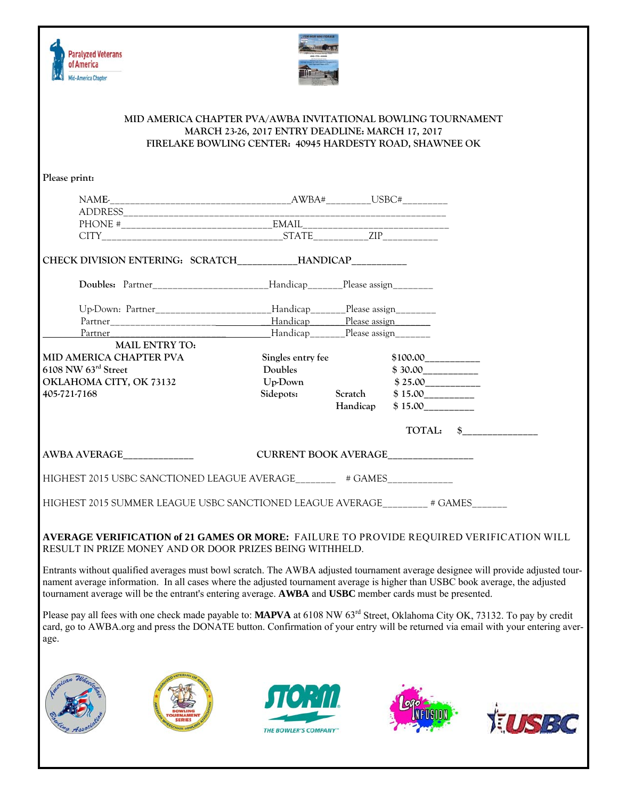



#### **MID AMERICA CHAPTER PVA/AWBA INVITATIONAL BOWLING TOURNAMENT MARCH 23-26, 2017 ENTRY DEADLINE: MARCH 17, 2017 FIRELAKE BOWLING CENTER: 40945 HARDESTY ROAD, SHAWNEE OK**

| Please print:                                                                                                                                                                                                                                                                                                                                                                 |                                               |          |                                   |           |       |
|-------------------------------------------------------------------------------------------------------------------------------------------------------------------------------------------------------------------------------------------------------------------------------------------------------------------------------------------------------------------------------|-----------------------------------------------|----------|-----------------------------------|-----------|-------|
|                                                                                                                                                                                                                                                                                                                                                                               |                                               |          |                                   |           |       |
|                                                                                                                                                                                                                                                                                                                                                                               |                                               |          |                                   |           |       |
|                                                                                                                                                                                                                                                                                                                                                                               |                                               |          |                                   |           |       |
|                                                                                                                                                                                                                                                                                                                                                                               |                                               |          |                                   |           |       |
| CHECK DIVISION ENTERING: SCRATCH____________HANDICAP___________                                                                                                                                                                                                                                                                                                               |                                               |          |                                   |           |       |
| Doubles: Partner_________________________Handicap________Please assign__________                                                                                                                                                                                                                                                                                              |                                               |          |                                   |           |       |
| Up-Down: Partner_______________________Handicap_______Please assign________                                                                                                                                                                                                                                                                                                   |                                               |          |                                   |           |       |
|                                                                                                                                                                                                                                                                                                                                                                               |                                               |          |                                   |           |       |
|                                                                                                                                                                                                                                                                                                                                                                               |                                               |          |                                   |           |       |
| <b>MAIL ENTRY TO:</b>                                                                                                                                                                                                                                                                                                                                                         |                                               |          |                                   |           |       |
| MID AMERICA CHAPTER PVA                                                                                                                                                                                                                                                                                                                                                       | Singles entry fee                             |          | $$100.00$ <sub>____________</sub> |           |       |
| 6108 NW 63rd Street                                                                                                                                                                                                                                                                                                                                                           | Doubles                                       |          |                                   |           |       |
| OKLAHOMA CITY, OK 73132                                                                                                                                                                                                                                                                                                                                                       | Up-Down                                       |          | \$25.00                           |           |       |
| 405-721-7168                                                                                                                                                                                                                                                                                                                                                                  | Sidepots: Scratch \$15.00                     |          |                                   |           |       |
|                                                                                                                                                                                                                                                                                                                                                                               |                                               | Handicap | \$15.00                           |           |       |
| AWBA AVERAGE                                                                                                                                                                                                                                                                                                                                                                  | CURRENT BOOK AVERAGE______________            |          |                                   | TOTAL: \$ |       |
| HIGHEST 2015 USBC SANCTIONED LEAGUE AVERAGE________ # GAMES___________                                                                                                                                                                                                                                                                                                        |                                               |          |                                   |           |       |
| HIGHEST 2015 SUMMER LEAGUE USBC SANCTIONED LEAGUE AVERAGE ________ # GAMES ______                                                                                                                                                                                                                                                                                             |                                               |          |                                   |           |       |
| AVERAGE VERIFICATION of 21 GAMES OR MORE: FAILURE TO PROVIDE REQUIRED VERIFICATION WILL<br>RESULT IN PRIZE MONEY AND OR DOOR PRIZES BEING WITHHELD.                                                                                                                                                                                                                           |                                               |          |                                   |           |       |
| Entrants without qualified averages must bowl scratch. The AWBA adjusted tournament average designee will provide adjusted tour-<br>nament average information. In all cases where the adjusted tournament average is higher than USBC book average, the adjusted<br>tournament average will be the entrant's entering average. AWBA and USBC member cards must be presented. |                                               |          |                                   |           |       |
| Please pay all fees with one check made payable to: MAPVA at 6108 NW 63 <sup>rd</sup> Street, Oklahoma City OK, 73132. To pay by credit<br>card, go to AWBA.org and press the DONATE button. Confirmation of your entry will be returned via email with your entering aver-<br>age.                                                                                           |                                               |          |                                   |           |       |
|                                                                                                                                                                                                                                                                                                                                                                               | <b><i>STORTIL</i></b><br>THE BOWLER'S COMPANY |          |                                   |           | TUSBC |